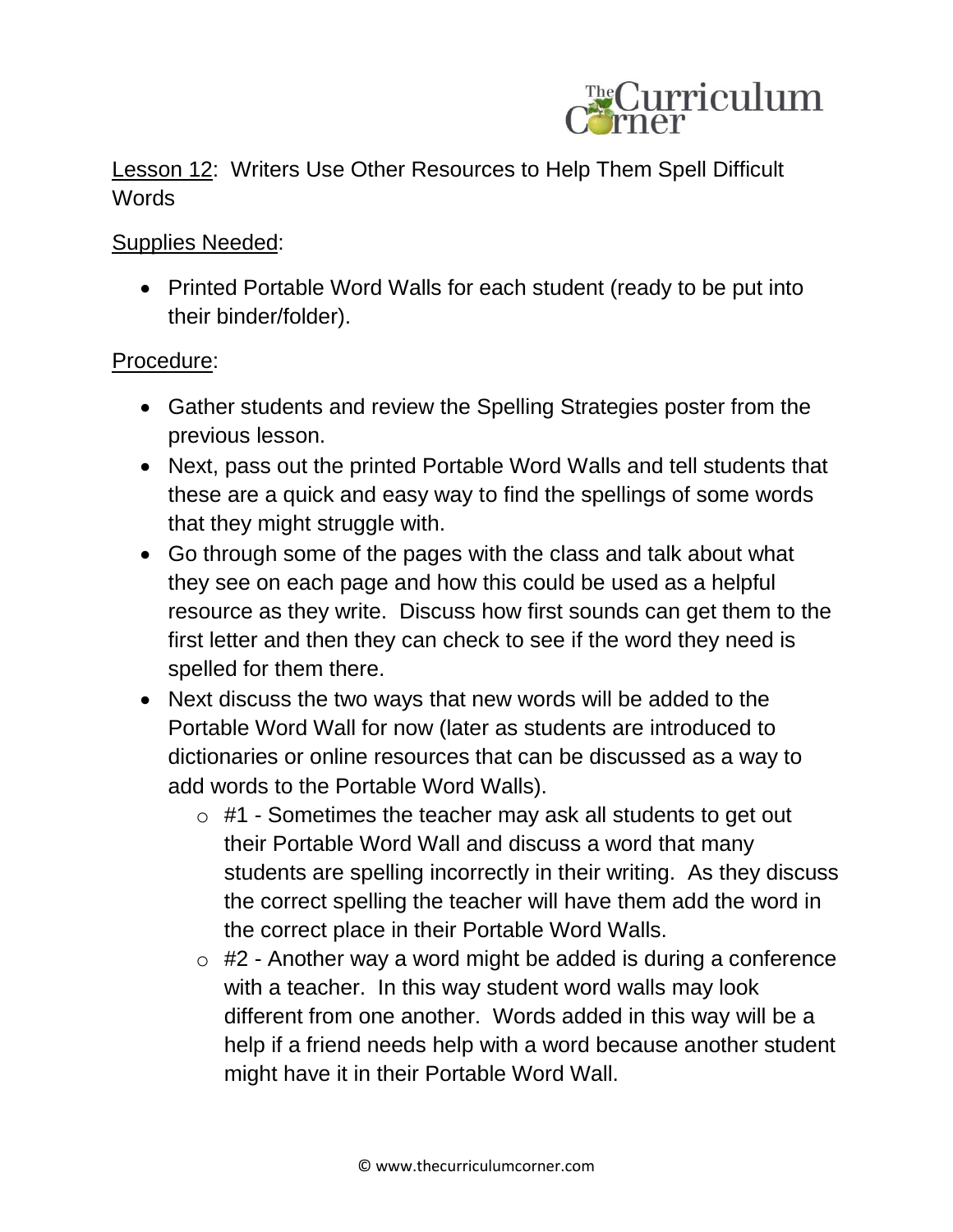

Lesson 12: Writers Use Other Resources to Help Them Spell Difficult **Words** 

Supplies Needed:

• Printed Portable Word Walls for each student (ready to be put into their binder/folder).

## Procedure:

- Gather students and review the Spelling Strategies poster from the previous lesson.
- Next, pass out the printed Portable Word Walls and tell students that these are a quick and easy way to find the spellings of some words that they might struggle with.
- Go through some of the pages with the class and talk about what they see on each page and how this could be used as a helpful resource as they write. Discuss how first sounds can get them to the first letter and then they can check to see if the word they need is spelled for them there.
- Next discuss the two ways that new words will be added to the Portable Word Wall for now (later as students are introduced to dictionaries or online resources that can be discussed as a way to add words to the Portable Word Walls).
	- $\circ$  #1 Sometimes the teacher may ask all students to get out their Portable Word Wall and discuss a word that many students are spelling incorrectly in their writing. As they discuss the correct spelling the teacher will have them add the word in the correct place in their Portable Word Walls.
	- $\circ$  #2 Another way a word might be added is during a conference with a teacher. In this way student word walls may look different from one another. Words added in this way will be a help if a friend needs help with a word because another student might have it in their Portable Word Wall.